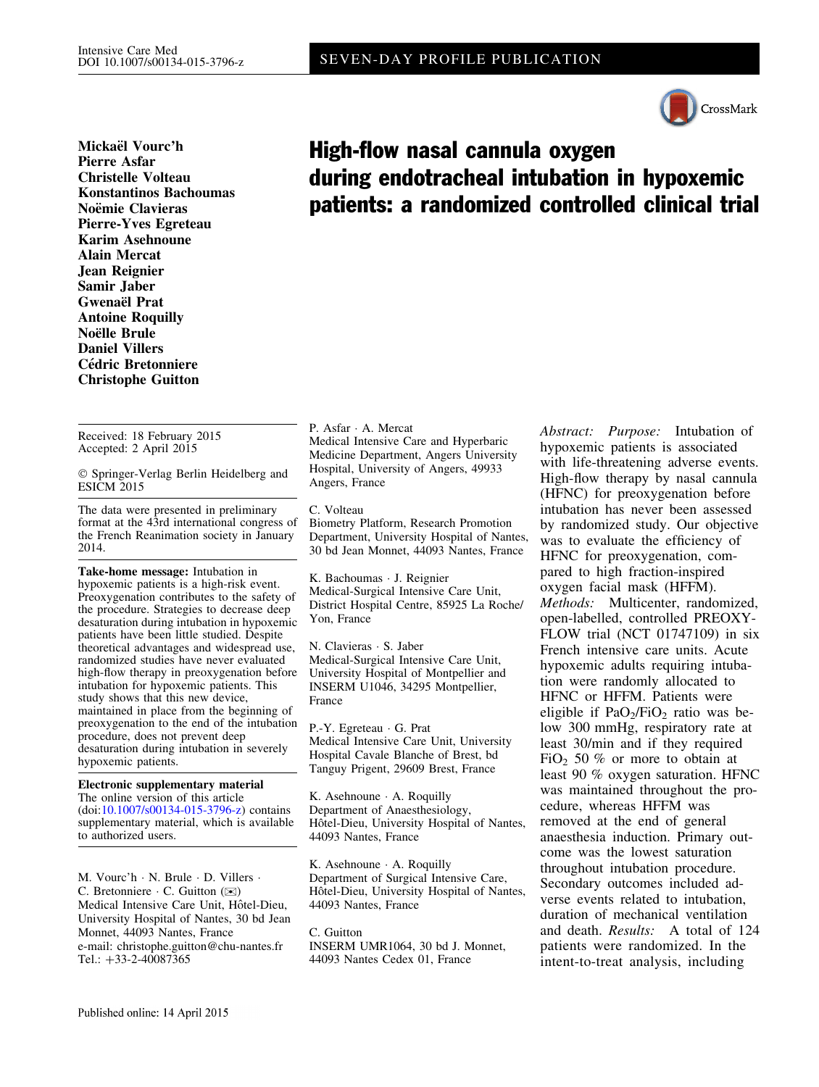

Mickaël Vourc'h Pierre Asfar Christelle Volteau Konstantinos Bachoumas Noëmie Clavieras Pierre-Yves Egreteau Karim Asehnoune Alain Mercat Jean Reignier Samir Jaber Gwenaël Prat Antoine Roquilly Noëlle Brule Daniel Villers Cédric Bretonniere Christophe Guitton

Received: 18 February 2015 Accepted: 2 April 2015

- Springer-Verlag Berlin Heidelberg and ESICM<sub>2015</sub>

The data were presented in preliminary format at the 43rd international congress of the French Reanimation society in January 2014.

Take-home message: Intubation in hypoxemic patients is a high-risk event. Preoxygenation contributes to the safety of the procedure. Strategies to decrease deep desaturation during intubation in hypoxemic patients have been little studied. Despite theoretical advantages and widespread use, randomized studies have never evaluated high-flow therapy in preoxygenation before intubation for hypoxemic patients. This study shows that this new device, maintained in place from the beginning of preoxygenation to the end of the intubation procedure, does not prevent deep desaturation during intubation in severely hypoxemic patients.

Electronic supplementary material The online version of this article (doi:[10.1007/s00134-015-3796-z\)](http://dx.doi.org/10.1007/s00134-015-3796-z) contains supplementary material, which is available to authorized users.

M. Vourc'h - N. Brule - D. Villers - C. Bretonniere  $\cdot$  C. Guitton ( $\otimes$ ) Medical Intensive Care Unit, Hôtel-Dieu, University Hospital of Nantes, 30 bd Jean Monnet, 44093 Nantes, France e-mail: christophe.guitton@chu-nantes.fr Tel.:  $+33-2-40087365$ 

High-flow nasal cannula oxygen during endotracheal intubation in hypoxemic patients: a randomized controlled clinical trial

P. Asfar - A. Mercat Medical Intensive Care and Hyperbaric Medicine Department, Angers University Hospital, University of Angers, 49933 Angers, France

C. Volteau Biometry Platform, Research Promotion Department, University Hospital of Nantes,

K. Bachoumas - J. Reignier Medical-Surgical Intensive Care Unit, District Hospital Centre, 85925 La Roche/ Yon, France

30 bd Jean Monnet, 44093 Nantes, France

N. Clavieras - S. Jaber Medical-Surgical Intensive Care Unit, University Hospital of Montpellier and INSERM U1046, 34295 Montpellier, France

P.-Y. Egreteau - G. Prat Medical Intensive Care Unit, University Hospital Cavale Blanche of Brest, bd Tanguy Prigent, 29609 Brest, France

K. Asehnoune - A. Roquilly Department of Anaesthesiology, Hôtel-Dieu, University Hospital of Nantes, 44093 Nantes, France

K. Asehnoune - A. Roquilly Department of Surgical Intensive Care, Hôtel-Dieu, University Hospital of Nantes, 44093 Nantes, France

C. Guitton INSERM UMR1064, 30 bd J. Monnet, 44093 Nantes Cedex 01, France

Abstract: Purpose: Intubation of hypoxemic patients is associated with life-threatening adverse events. High-flow therapy by nasal cannula (HFNC) for preoxygenation before intubation has never been assessed by randomized study. Our objective was to evaluate the efficiency of HFNC for preoxygenation, compared to high fraction-inspired oxygen facial mask (HFFM). Methods: Multicenter, randomized, open-labelled, controlled PREOXY-FLOW trial (NCT 01747109) in six French intensive care units. Acute hypoxemic adults requiring intubation were randomly allocated to HFNC or HFFM. Patients were eligible if  $PaO<sub>2</sub>/FiO<sub>2</sub>$  ratio was below 300 mmHg, respiratory rate at least 30/min and if they required FiO<sub>2</sub> 50  $%$  or more to obtain at least 90 % oxygen saturation. HFNC was maintained throughout the procedure, whereas HFFM was removed at the end of general anaesthesia induction. Primary outcome was the lowest saturation throughout intubation procedure. Secondary outcomes included adverse events related to intubation, duration of mechanical ventilation and death. Results: A total of 124 patients were randomized. In the intent-to-treat analysis, including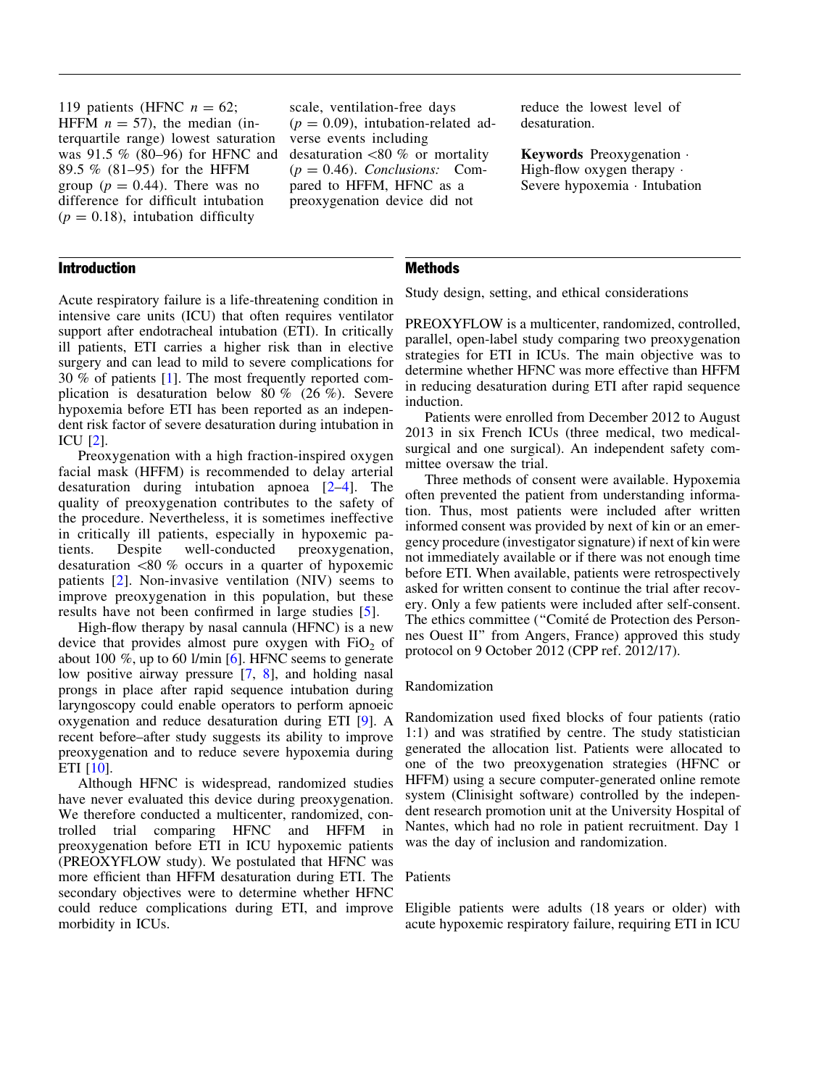119 patients (HFNC  $n = 62$ ; HFFM  $n = 57$ ), the median (interquartile range) lowest saturation was 91.5 % (80–96) for HFNC and 89.5 % (81–95) for the HFFM group ( $p = 0.44$ ). There was no difference for difficult intubation  $(p = 0.18)$ , intubation difficulty

# Introduction

scale, ventilation-free days  $(p = 0.09)$ , intubation-related adverse events including desaturation  $\langle 80 \% \rangle$  or mortality  $(p = 0.46)$ . Conclusions: Compared to HFFM, HFNC as a preoxygenation device did not

reduce the lowest level of desaturation.

Keywords Preoxygenation - High-flow oxygen therapy  $\cdot$ Severe hypoxemia - Intubation

# **Methods**

Study design, setting, and ethical considerations

Acute respiratory failure is a life-threatening condition in intensive care units (ICU) that often requires ventilator support after endotracheal intubation (ETI). In critically ill patients, ETI carries a higher risk than in elective surgery and can lead to mild to severe complications for 30 % of patients [[1\]](#page-9-0). The most frequently reported complication is desaturation below 80 % (26 %). Severe hypoxemia before ETI has been reported as an independent risk factor of severe desaturation during intubation in ICU [\[2\]](#page-9-0).

Preoxygenation with a high fraction-inspired oxygen facial mask (HFFM) is recommended to delay arterial desaturation during intubation apnoea [[2](#page-9-0)–[4](#page-9-0)]. The quality of preoxygenation contributes to the safety of the procedure. Nevertheless, it is sometimes ineffective in critically ill patients, especially in hypoxemic patients. Despite well-conducted preoxygenation, desaturation  $\langle 80 \%$  occurs in a quarter of hypoxemic patients [[2](#page-9-0)]. Non-invasive ventilation (NIV) seems to improve preoxygenation in this population, but these results have not been confirmed in large studies [[5](#page-9-0)].

High-flow therapy by nasal cannula (HFNC) is a new device that provides almost pure oxygen with  $FiO<sub>2</sub>$  of about 100  $\%$ , up to 60 l/min [\[6\]](#page-9-0). HFNC seems to generate low positive airway pressure [\[7,](#page-9-0) [8](#page-9-0)], and holding nasal prongs in place after rapid sequence intubation during laryngoscopy could enable operators to perform apnoeic oxygenation and reduce desaturation during ETI [[9](#page-9-0)]. A recent before–after study suggests its ability to improve preoxygenation and to reduce severe hypoxemia during ETI [[10](#page-9-0)].

Although HFNC is widespread, randomized studies have never evaluated this device during preoxygenation. We therefore conducted a multicenter, randomized, controlled trial comparing HFNC and HFFM in preoxygenation before ETI in ICU hypoxemic patients (PREOXYFLOW study). We postulated that HFNC was more efficient than HFFM desaturation during ETI. The secondary objectives were to determine whether HFNC could reduce complications during ETI, and improve morbidity in ICUs.

PREOXYFLOW is a multicenter, randomized, controlled, parallel, open-label study comparing two preoxygenation strategies for ETI in ICUs. The main objective was to determine whether HFNC was more effective than HFFM in reducing desaturation during ETI after rapid sequence induction.

Patients were enrolled from December 2012 to August 2013 in six French ICUs (three medical, two medicalsurgical and one surgical). An independent safety committee oversaw the trial.

Three methods of consent were available. Hypoxemia often prevented the patient from understanding information. Thus, most patients were included after written informed consent was provided by next of kin or an emergency procedure (investigator signature) if next of kin were not immediately available or if there was not enough time before ETI. When available, patients were retrospectively asked for written consent to continue the trial after recovery. Only a few patients were included after self-consent. The ethics committee ("Comité de Protection des Personnes Ouest II'' from Angers, France) approved this study protocol on 9 October 2012 (CPP ref. 2012/17).

# Randomization

Randomization used fixed blocks of four patients (ratio 1:1) and was stratified by centre. The study statistician generated the allocation list. Patients were allocated to one of the two preoxygenation strategies (HFNC or HFFM) using a secure computer-generated online remote system (Clinisight software) controlled by the independent research promotion unit at the University Hospital of Nantes, which had no role in patient recruitment. Day 1 was the day of inclusion and randomization.

#### Patients

Eligible patients were adults (18 years or older) with acute hypoxemic respiratory failure, requiring ETI in ICU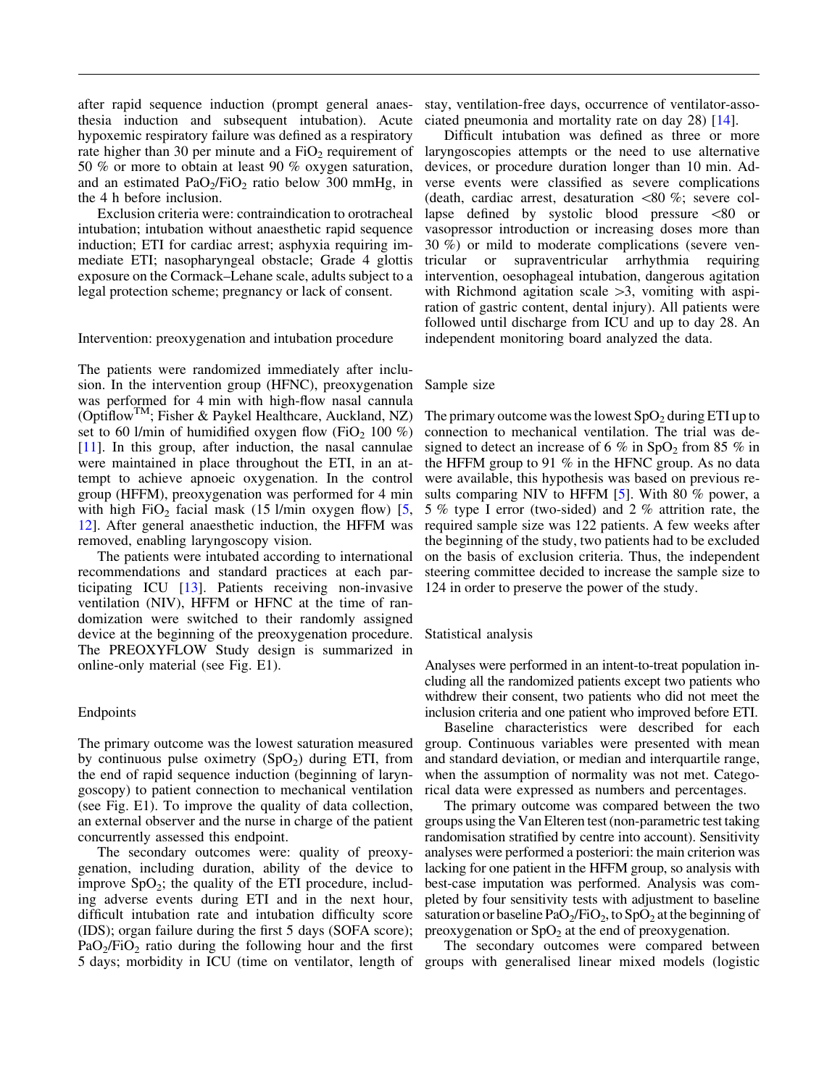after rapid sequence induction (prompt general anaesthesia induction and subsequent intubation). Acute hypoxemic respiratory failure was defined as a respiratory rate higher than 30 per minute and a  $FiO<sub>2</sub>$  requirement of 50 % or more to obtain at least 90 % oxygen saturation, and an estimated  $PaO<sub>2</sub>/FiO<sub>2</sub>$  ratio below 300 mmHg, in the 4 h before inclusion.

Exclusion criteria were: contraindication to orotracheal intubation; intubation without anaesthetic rapid sequence induction; ETI for cardiac arrest; asphyxia requiring immediate ETI; nasopharyngeal obstacle; Grade 4 glottis exposure on the Cormack–Lehane scale, adults subject to a legal protection scheme; pregnancy or lack of consent.

Intervention: preoxygenation and intubation procedure

The patients were randomized immediately after inclusion. In the intervention group (HFNC), preoxygenation was performed for 4 min with high-flow nasal cannula (OptiflowTM; Fisher & Paykel Healthcare, Auckland, NZ) set to 60 l/min of humidified oxygen flow (FiO<sub>2</sub> 100 %) [\[11\]](#page-9-0). In this group, after induction, the nasal cannulae were maintained in place throughout the ETI, in an attempt to achieve apnoeic oxygenation. In the control group (HFFM), preoxygenation was performed for 4 min with high FiO<sub>2</sub> facial mask (15 l/min oxygen flow) [[5,](#page-9-0) [12](#page-9-0)]. After general anaesthetic induction, the HFFM was removed, enabling laryngoscopy vision.

The patients were intubated according to international recommendations and standard practices at each participating ICU [[13](#page-9-0)]. Patients receiving non-invasive ventilation (NIV), HFFM or HFNC at the time of randomization were switched to their randomly assigned device at the beginning of the preoxygenation procedure. The PREOXYFLOW Study design is summarized in online-only material (see Fig. E1).

#### Endpoints

The primary outcome was the lowest saturation measured by continuous pulse oximetry  $(SpO<sub>2</sub>)$  during ETI, from the end of rapid sequence induction (beginning of laryngoscopy) to patient connection to mechanical ventilation (see Fig. E1). To improve the quality of data collection, an external observer and the nurse in charge of the patient concurrently assessed this endpoint.

The secondary outcomes were: quality of preoxygenation, including duration, ability of the device to improve  $SpO<sub>2</sub>$ ; the quality of the ETI procedure, including adverse events during ETI and in the next hour, difficult intubation rate and intubation difficulty score (IDS); organ failure during the first 5 days (SOFA score);  $PaO<sub>2</sub>/FiO<sub>2</sub>$  ratio during the following hour and the first 5 days; morbidity in ICU (time on ventilator, length of

stay, ventilation-free days, occurrence of ventilator-associated pneumonia and mortality rate on day 28) [\[14](#page-9-0)].

Difficult intubation was defined as three or more laryngoscopies attempts or the need to use alternative devices, or procedure duration longer than 10 min. Adverse events were classified as severe complications (death, cardiac arrest, desaturation  $\langle 80 \, \% \rangle$ ; severe collapse defined by systolic blood pressure  $\leq 80$  or vasopressor introduction or increasing doses more than 30 %) or mild to moderate complications (severe ventricular or supraventricular arrhythmia requiring intervention, oesophageal intubation, dangerous agitation with Richmond agitation scale  $>3$ , vomiting with aspiration of gastric content, dental injury). All patients were followed until discharge from ICU and up to day 28. An independent monitoring board analyzed the data.

#### Sample size

The primary outcome was the lowest  $SpO<sub>2</sub>$  during ETI up to connection to mechanical ventilation. The trial was designed to detect an increase of 6 % in  $SpO<sub>2</sub>$  from 85 % in the HFFM group to 91 % in the HFNC group. As no data were available, this hypothesis was based on previous re-sults comparing NIV to HFFM [[5\]](#page-9-0). With 80 % power, a 5 % type I error (two-sided) and 2 % attrition rate, the required sample size was 122 patients. A few weeks after the beginning of the study, two patients had to be excluded on the basis of exclusion criteria. Thus, the independent steering committee decided to increase the sample size to 124 in order to preserve the power of the study.

#### Statistical analysis

Analyses were performed in an intent-to-treat population including all the randomized patients except two patients who withdrew their consent, two patients who did not meet the inclusion criteria and one patient who improved before ETI.

Baseline characteristics were described for each group. Continuous variables were presented with mean and standard deviation, or median and interquartile range, when the assumption of normality was not met. Categorical data were expressed as numbers and percentages.

The primary outcome was compared between the two groups using the Van Elteren test (non-parametric test taking randomisation stratified by centre into account). Sensitivity analyses were performed a posteriori: the main criterion was lacking for one patient in the HFFM group, so analysis with best-case imputation was performed. Analysis was completed by four sensitivity tests with adjustment to baseline saturation or baseline PaO<sub>2</sub>/FiO<sub>2</sub>, to SpO<sub>2</sub> at the beginning of preoxygenation or  $SpO<sub>2</sub>$  at the end of preoxygenation.

The secondary outcomes were compared between groups with generalised linear mixed models (logistic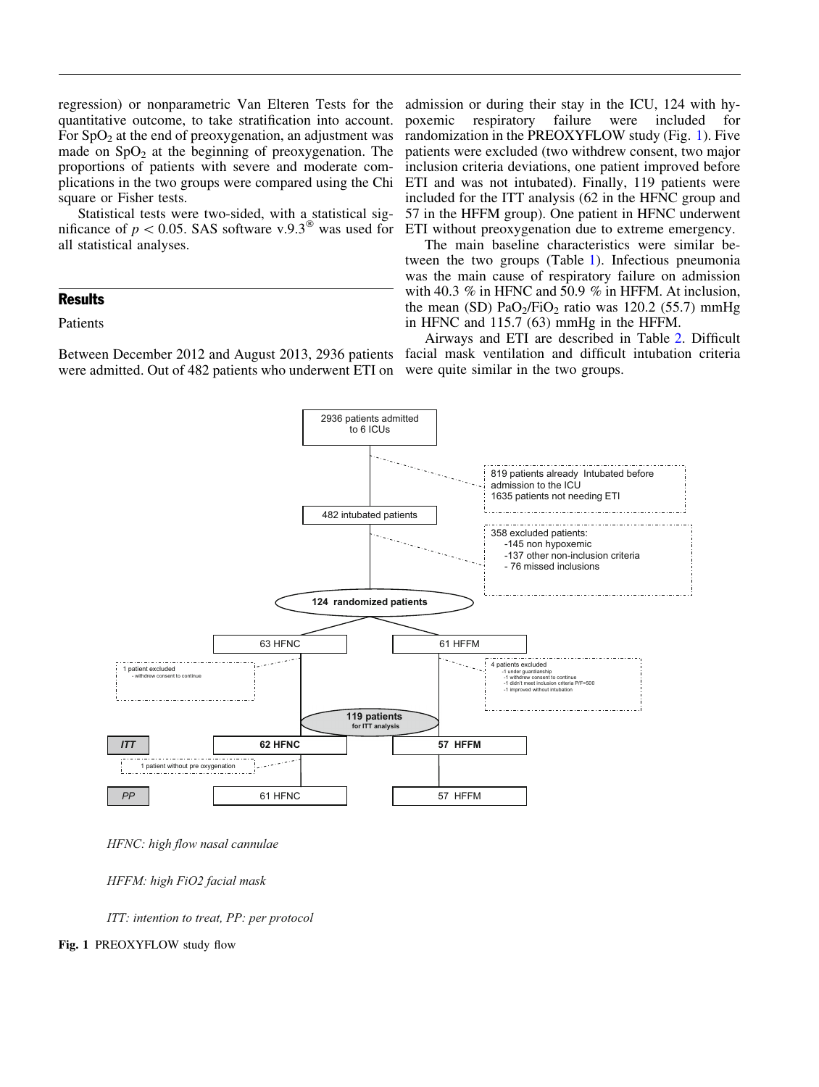regression) or nonparametric Van Elteren Tests for the quantitative outcome, to take stratification into account. For  $SpO<sub>2</sub>$  at the end of preoxygenation, an adjustment was made on  $SpO<sub>2</sub>$  at the beginning of preoxygenation. The proportions of patients with severe and moderate complications in the two groups were compared using the Chi square or Fisher tests.

Statistical tests were two-sided, with a statistical significance of  $p < 0.05$ . SAS software v.9.3<sup><sup>®</sup></sup> was used for all statistical analyses.

# **Results**

# Patients

Between December 2012 and August 2013, 2936 patients were admitted. Out of 482 patients who underwent ETI on

admission or during their stay in the ICU, 124 with hypoxemic respiratory failure were included for randomization in the PREOXYFLOW study (Fig. 1). Five patients were excluded (two withdrew consent, two major inclusion criteria deviations, one patient improved before ETI and was not intubated). Finally, 119 patients were included for the ITT analysis (62 in the HFNC group and 57 in the HFFM group). One patient in HFNC underwent ETI without preoxygenation due to extreme emergency.

The main baseline characteristics were similar between the two groups (Table [1\)](#page-4-0). Infectious pneumonia was the main cause of respiratory failure on admission with 40.3 % in HFNC and 50.9 % in HFFM. At inclusion, the mean (SD)  $PaO<sub>2</sub>/FiO<sub>2</sub>$  ratio was 120.2 (55.7) mmHg in HFNC and 115.7 (63) mmHg in the HFFM.

Airways and ETI are described in Table [2](#page-5-0). Difficult facial mask ventilation and difficult intubation criteria were quite similar in the two groups.





*HFFM: high FiO2 facial mask*

*ITT: intention to treat, PP: per protocol*

Fig. 1 PREOXYFLOW study flow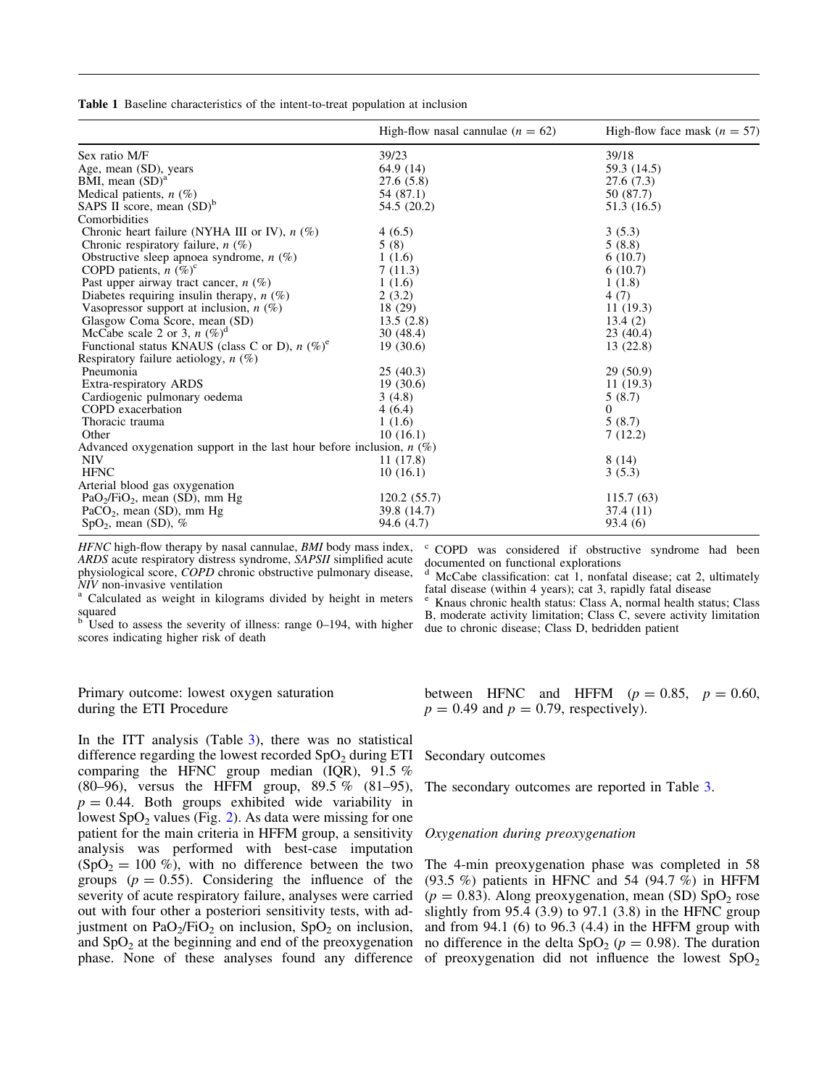<span id="page-4-0"></span>Table 1 Baseline characteristics of the intent-to-treat population at inclusion

|                                                                         | High-flow nasal cannulae $(n = 62)$ | High-flow face mask $(n = 57)$ |
|-------------------------------------------------------------------------|-------------------------------------|--------------------------------|
| Sex ratio M/F                                                           | 39/23                               | 39/18                          |
| Age, mean (SD), years                                                   | 64.9(14)                            | 59.3 (14.5)                    |
| BMI, mean $(SD)^a$                                                      | 27.6 (5.8)                          | 27.6(7.3)                      |
| Medical patients, $n$ (%)                                               | 54 (87.1)                           | 50 (87.7)                      |
| SAPS II score, mean $(SD)^b$                                            | 54.5 (20.2)                         | 51.3 (16.5)                    |
| Comorbidities                                                           |                                     |                                |
| Chronic heart failure (NYHA III or IV), $n$ (%)                         | 4(6.5)                              | 3(5.3)                         |
| Chronic respiratory failure, $n$ (%)                                    | 5(8)                                | 5(8.8)                         |
| Obstructive sleep apnoea syndrome, $n$ (%)                              | 1(1.6)                              | 6(10.7)                        |
| COPD patients, $n$ (%) <sup>c</sup>                                     | 7(11.3)                             | 6(10.7)                        |
| Past upper airway tract cancer, $n$ (%)                                 | 1(1.6)                              | 1(1.8)                         |
| Diabetes requiring insulin therapy, $n$ (%)                             | 2(3.2)                              | 4(7)                           |
| Vasopressor support at inclusion, $n$ (%)                               | 18 (29)                             | 11(19.3)                       |
| Glasgow Coma Score, mean (SD)                                           | 13.5(2.8)                           | 13.4(2)                        |
| McCabe scale 2 or 3, $n$ (%) <sup>d</sup>                               | 30(48.4)                            | 23(40.4)                       |
| Functional status KNAUS (class C or D), $n$ (%) <sup>e</sup>            | 19(30.6)                            | 13 (22.8)                      |
| Respiratory failure aetiology, $n$ (%)                                  |                                     |                                |
| Pneumonia                                                               | 25(40.3)                            | 29(50.9)                       |
| Extra-respiratory ARDS                                                  | 19(30.6)                            | 11(19.3)                       |
| Cardiogenic pulmonary oedema                                            | 3(4.8)                              | 5(8.7)                         |
| COPD exacerbation                                                       | 4(6.4)                              | $\Omega$                       |
| Thoracic trauma                                                         | 1(1.6)                              | 5(8.7)                         |
| Other                                                                   | 10(16.1)                            | 7(12.2)                        |
| Advanced oxygenation support in the last hour before inclusion, $n(\%)$ |                                     |                                |
| <b>NIV</b>                                                              | 11 (17.8)                           | 8(14)                          |
| <b>HFNC</b>                                                             | 10(16.1)                            | 3(5.3)                         |
| Arterial blood gas oxygenation                                          |                                     |                                |
| $PaO2/FiO2$ , mean (SD), mm Hg                                          | 120.2(55.7)                         | 115.7(63)                      |
| PaCO <sub>2</sub> , mean (SD), mm Hg                                    | 39.8 (14.7)                         | 37.4 (11)                      |
| $SpO2$ , mean (SD), %                                                   | 94.6 (4.7)                          | 93.4 (6)                       |

HFNC high-flow therapy by nasal cannulae, BMI body mass index, ARDS acute respiratory distress syndrome, SAPSII simplified acute physiological score, COPD chronic obstructive pulmonary disease,  $NIV$  non-invasive ventilation<br><sup>a</sup> Calculated as weight in kilograms divided by height in meters

squared

 $b$  Used to assess the severity of illness: range 0–194, with higher scores indicating higher risk of death

### Primary outcome: lowest oxygen saturation during the ETI Procedure

In the ITT analysis (Table [3\)](#page-6-0), there was no statistical difference regarding the lowest recorded  $SpO<sub>2</sub>$  during ETI comparing the HFNC group median (IQR), 91.5 % (80–96), versus the HFFM group, 89.5 % (81–95),  $p = 0.44$ . Both groups exhibited wide variability in lowest  $SpO<sub>2</sub>$  values (Fig. [2\)](#page-7-0). As data were missing for one patient for the main criteria in HFFM group, a sensitivity analysis was performed with best-case imputation  $(SpO<sub>2</sub> = 100 %)$ , with no difference between the two groups ( $p = 0.55$ ). Considering the influence of the severity of acute respiratory failure, analyses were carried out with four other a posteriori sensitivity tests, with adjustment on  $PaO<sub>2</sub>/FiO<sub>2</sub>$  on inclusion,  $SpO<sub>2</sub>$  on inclusion, and  $SpO<sub>2</sub>$  at the beginning and end of the preoxygenation

<sup>c</sup> COPD was considered if obstructive syndrome had been documented on functional explorations

McCabe classification: cat 1, nonfatal disease; cat 2, ultimately fatal disease (within 4 years); cat 3, rapidly fatal disease

Knaus chronic health status: Class A, normal health status; Class B, moderate activity limitation; Class C, severe activity limitation due to chronic disease; Class D, bedridden patient

between HFNC and HFFM  $(p = 0.85, p = 0.60,$  $p = 0.49$  and  $p = 0.79$ , respectively).

#### Secondary outcomes

The secondary outcomes are reported in Table [3](#page-6-0).

### Oxygenation during preoxygenation

phase. None of these analyses found any difference of preoxygenation did not influence the lowest  $SpO<sub>2</sub>$ The 4-min preoxygenation phase was completed in 58 (93.5 %) patients in HFNC and 54 (94.7 %) in HFFM  $(p = 0.83)$ . Along preoxygenation, mean (SD) SpO<sub>2</sub> rose slightly from  $95.4$  (3.9) to  $97.1$  (3.8) in the HFNC group and from  $94.1$  (6) to  $96.3$  (4.4) in the HFFM group with no difference in the delta SpO<sub>2</sub> ( $p = 0.98$ ). The duration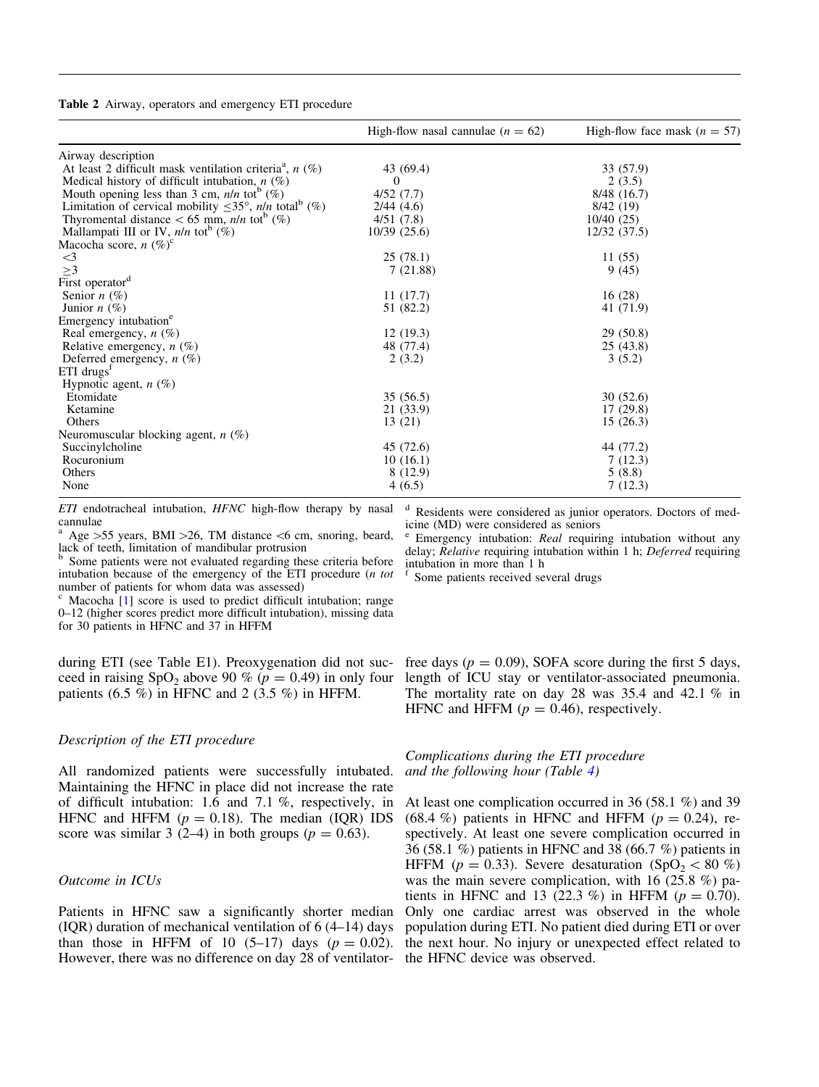<span id="page-5-0"></span>Table 2 Airway, operators and emergency ETI procedure

|                                                                                | High-flow nasal cannulae $(n = 62)$ | High-flow face mask $(n = 57)$ |
|--------------------------------------------------------------------------------|-------------------------------------|--------------------------------|
| Airway description                                                             |                                     |                                |
| At least 2 difficult mask ventilation criteria <sup>a</sup> , $n$ (%)          | 43 (69.4)                           | 33 (57.9)                      |
| Medical history of difficult intubation, $n$ (%)                               | $\Omega$                            | 2(3.5)                         |
| Mouth opening less than 3 cm, $n/n$ tot <sup>b</sup> (%)                       | 4/52(7.7)                           | 8/48(16.7)                     |
| Limitation of cervical mobility $\leq 35^{\circ}$ , n/n total <sup>b</sup> (%) | 2/44(4.6)                           | 8/42(19)                       |
| Thyromental distance $<$ 65 mm, <i>n/n</i> tot <sup>b</sup> (%)                | 4/51(7.8)                           | 10/40(25)                      |
| Mallampati III or IV, $n/n$ tot <sup>b</sup> (%)                               | 10/39(25.6)                         | 12/32(37.5)                    |
| Macocha score, $n (\%)^c$                                                      |                                     |                                |
| $\leq$ 3                                                                       | 25(78.1)                            | 11(55)                         |
| $\geq$ 3                                                                       | 7(21.88)                            | 9(45)                          |
| First operator <sup>d</sup>                                                    |                                     |                                |
| Senior $n$ (%)                                                                 | 11(17.7)                            | 16(28)                         |
| Junior $n(\%)$                                                                 | 51 (82.2)                           | 41 (71.9)                      |
| Emergency intubation <sup>e</sup>                                              |                                     |                                |
| Real emergency, $n$ (%)                                                        | 12(19.3)                            | 29(50.8)                       |
| Relative emergency, $n$ (%)                                                    | 48 (77.4)                           | 25(43.8)                       |
| Deferred emergency, $n$ (%)                                                    | 2(3.2)                              | 3(5.2)                         |
| $ETI$ drugs <sup>t</sup>                                                       |                                     |                                |
| Hypnotic agent, $n$ (%)                                                        |                                     |                                |
| Etomidate                                                                      | 35(56.5)                            | 30(52.6)                       |
| Ketamine                                                                       | 21 (33.9)                           | 17(29.8)                       |
| Others                                                                         | 13 (21)                             | 15(26.3)                       |
| Neuromuscular blocking agent, $n$ (%)                                          |                                     |                                |
| Succinylcholine                                                                | 45 (72.6)                           | 44 (77.2)                      |
| Rocuronium                                                                     | 10(16.1)                            | 7(12.3)                        |
| Others                                                                         | 8(12.9)                             | 5(8.8)                         |
| None                                                                           | 4(6.5)                              | 7(12.3)                        |

ETI endotracheal intubation, HFNC high-flow therapy by nasal cannulae

<sup>a</sup> Age  $>55$  years, BMI  $>26$ , TM distance <6 cm, snoring, beard, lack of teeth, limitation of mandibular protrusion

Some patients were not evaluated regarding these criteria before intubation because of the emergency of the ETI procedure (n tot number of patients for whom data was assessed)

Macocha [[1\]](#page-9-0) score is used to predict difficult intubation; range 0–12 (higher scores predict more difficult intubation), missing data for 30 patients in HFNC and 37 in HFFM

during ETI (see Table E1). Preoxygenation did not succeed in raising SpO<sub>2</sub> above 90 % ( $p = 0.49$ ) in only four patients  $(6.5 \%)$  in HFNC and 2  $(3.5 \%)$  in HFFM.

# Description of the ETI procedure

All randomized patients were successfully intubated. Maintaining the HFNC in place did not increase the rate of difficult intubation: 1.6 and 7.1 %, respectively, in HFNC and HFFM  $(p = 0.18)$ . The median (IQR) IDS score was similar 3 (2–4) in both groups ( $p = 0.63$ ).

# Outcome in ICUs

Patients in HFNC saw a significantly shorter median (IQR) duration of mechanical ventilation of 6 (4–14) days than those in HFFM of 10  $(5-17)$  days  $(p = 0.02)$ . However, there was no difference on day 28 of ventilator-

<sup>d</sup> Residents were considered as junior operators. Doctors of medicine (MD) were considered as seniors

Emergency intubation: Real requiring intubation without any delay; Relative requiring intubation within 1 h; Deferred requiring intubation in more than 1 h

Some patients received several drugs

free days ( $p = 0.09$ ), SOFA score during the first 5 days, length of ICU stay or ventilator-associated pneumonia. The mortality rate on day 28 was 35.4 and 42.1 % in HFNC and HFFM ( $p = 0.46$ ), respectively.

Complications during the ETI procedure and the following hour (Table [4\)](#page-8-0)

At least one complication occurred in 36 (58.1 %) and 39 (68.4 %) patients in HFNC and HFFM ( $p = 0.24$ ), respectively. At least one severe complication occurred in 36 (58.1 %) patients in HFNC and 38 (66.7 %) patients in HFFM ( $p = 0.33$ ). Severe desaturation (SpO<sub>2</sub> < 80 %) was the main severe complication, with 16 (25.8 %) patients in HFNC and 13 (22.3 %) in HFFM ( $p = 0.70$ ). Only one cardiac arrest was observed in the whole population during ETI. No patient died during ETI or over the next hour. No injury or unexpected effect related to the HFNC device was observed.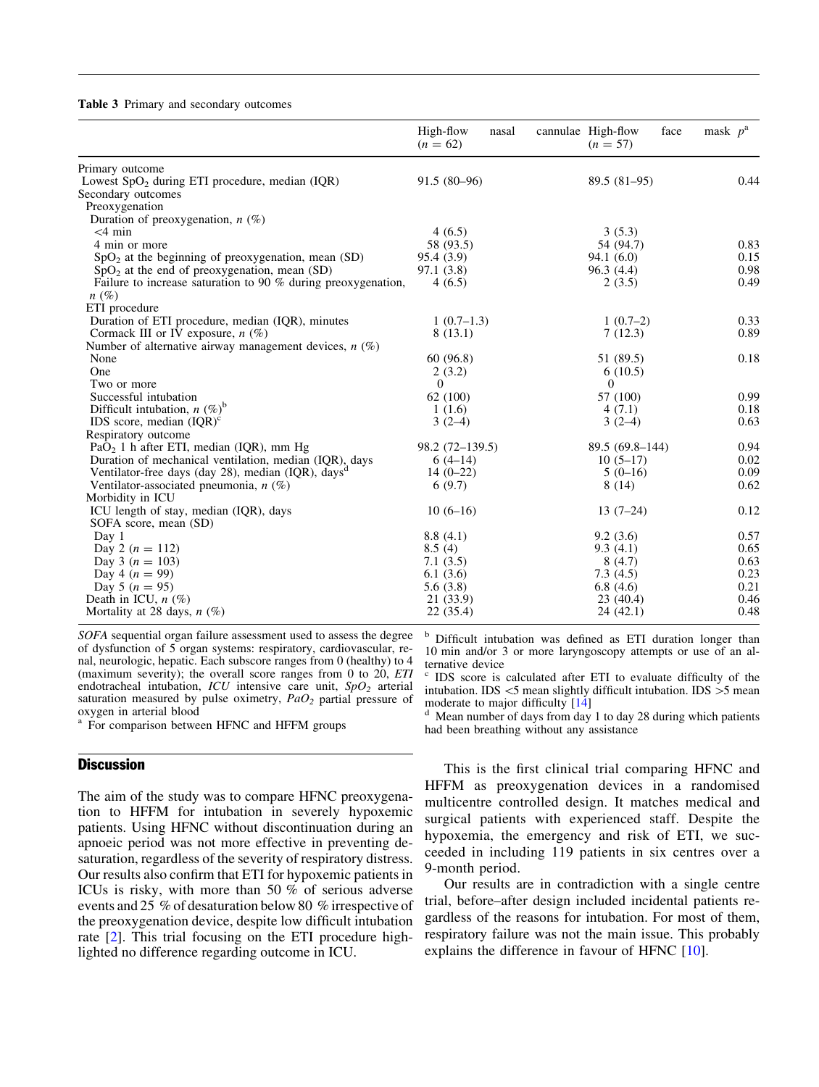#### <span id="page-6-0"></span>Table 3 Primary and secondary outcomes

|                                                                        | High-flow<br>nasal<br>$(n = 62)$ | cannulae High-flow<br>face<br>$(n = 57)$ | mask $p^a$ |
|------------------------------------------------------------------------|----------------------------------|------------------------------------------|------------|
| Primary outcome                                                        |                                  |                                          |            |
| Lowest $SpO2$ during ETI procedure, median (IQR)<br>Secondary outcomes | $91.5(80-96)$                    | 89.5 (81-95)                             | 0.44       |
| Preoxygenation                                                         |                                  |                                          |            |
| Duration of preoxygenation, $n$ (%)                                    |                                  |                                          |            |
| $<$ 4 min                                                              | 4(6.5)                           | 3(5.3)                                   |            |
| 4 min or more                                                          | 58 (93.5)                        | 54 (94.7)                                | 0.83       |
| $SpO2$ at the beginning of preoxygenation, mean (SD)                   | 95.4 (3.9)                       | 94.1(6.0)                                | 0.15       |
| $SpO2$ at the end of preoxygenation, mean (SD)                         | 97.1 (3.8)                       | 96.3(4.4)                                | 0.98       |
| Failure to increase saturation to 90 $%$ during preoxygenation,        | 4(6.5)                           | 2(3.5)                                   | 0.49       |
| $n(\%)$<br>ETI procedure                                               |                                  |                                          |            |
| Duration of ETI procedure, median (IQR), minutes                       | $1(0.7-1.3)$                     | $1(0.7-2)$                               | 0.33       |
| Cormack III or IV exposure, $n$ (%)                                    | 8(13.1)                          | 7(12.3)                                  | 0.89       |
| Number of alternative airway management devices, $n$ (%)               |                                  |                                          |            |
| None                                                                   | 60(96.8)                         | 51 (89.5)                                | 0.18       |
| One                                                                    | 2(3.2)                           | 6(10.5)                                  |            |
| Two or more                                                            | $\Omega$                         | $\overline{0}$                           |            |
| Successful intubation                                                  | 62 (100)                         | 57 (100)                                 | 0.99       |
| Difficult intubation, $n$ (%) <sup>b</sup>                             | 1(1.6)                           | 4(7.1)                                   | 0.18       |
| IDS score, median $( IQR)^c$                                           | $3(2-4)$                         | $3(2-4)$                                 | 0.63       |
| Respiratory outcome                                                    |                                  |                                          |            |
| PaO <sub>2</sub> 1 h after ETI, median (IQR), mm Hg                    | 98.2 (72–139.5)                  | 89.5 (69.8-144)                          | 0.94       |
| Duration of mechanical ventilation, median (IQR), days                 | $6(4-14)$                        | $10(5-17)$                               | 0.02       |
| Ventilator-free days (day 28), median (IQR), days <sup>d</sup>         | $14(0-22)$                       | $5(0-16)$                                | 0.09       |
| Ventilator-associated pneumonia, $n$ (%)                               | 6(9.7)                           | 8(14)                                    | 0.62       |
| Morbidity in ICU                                                       |                                  |                                          |            |
| ICU length of stay, median (IQR), days                                 | $10(6-16)$                       | $13(7-24)$                               | 0.12       |
| SOFA score, mean (SD)                                                  |                                  |                                          |            |
| Day 1                                                                  | 8.8(4.1)                         | 9.2(3.6)                                 | 0.57       |
| Day 2 ( $n = 112$ )                                                    | 8.5(4)                           | 9.3(4.1)                                 | 0.65       |
| Day 3 ( $n = 103$ )                                                    | 7.1(3.5)                         | 8(4.7)                                   | 0.63       |
| Day 4 ( $n = 99$ )                                                     | 6.1(3.6)                         | 7.3(4.5)                                 | 0.23       |
| Day 5 ( $n = 95$ )                                                     | 5.6(3.8)                         | 6.8(4.6)                                 | 0.21       |
| Death in ICU, $n$ (%)                                                  | 21 (33.9)                        | 23(40.4)                                 | 0.46       |
| Mortality at 28 days, $n$ (%)                                          | 22 (35.4)                        | 24 (42.1)                                | 0.48       |

SOFA sequential organ failure assessment used to assess the degree of dysfunction of 5 organ systems: respiratory, cardiovascular, renal, neurologic, hepatic. Each subscore ranges from 0 (healthy) to 4 (maximum severity); the overall score ranges from 0 to 20,  $ETI$ endotracheal intubation,  $ICU$  intensive care unit,  $SpO<sub>2</sub>$  arterial saturation measured by pulse oximetry,  $PaO<sub>2</sub>$  partial pressure of oxygen in arterial blood

<sup>a</sup> For comparison between HFNC and HFFM groups

### **Discussion**

The aim of the study was to compare HFNC preoxygenation to HFFM for intubation in severely hypoxemic patients. Using HFNC without discontinuation during an apnoeic period was not more effective in preventing desaturation, regardless of the severity of respiratory distress. Our results also confirm that ETI for hypoxemic patients in ICUs is risky, with more than 50 % of serious adverse events and 25 % of desaturation below 80 % irrespective of the preoxygenation device, despite low difficult intubation rate [\[2](#page-9-0)]. This trial focusing on the ETI procedure highlighted no difference regarding outcome in ICU.

<sup>b</sup> Difficult intubation was defined as ETI duration longer than 10 min and/or 3 or more laryngoscopy attempts or use of an alternative device

IDS score is calculated after ETI to evaluate difficulty of the intubation. IDS  $\le$ 5 mean slightly difficult intubation. IDS  $\ge$ 5 mean moderate to major difficulty [14]

Mean number of days from day 1 to day 28 during which patients had been breathing without any assistance

This is the first clinical trial comparing HFNC and HFFM as preoxygenation devices in a randomised multicentre controlled design. It matches medical and surgical patients with experienced staff. Despite the hypoxemia, the emergency and risk of ETI, we succeeded in including 119 patients in six centres over a 9-month period.

Our results are in contradiction with a single centre trial, before–after design included incidental patients regardless of the reasons for intubation. For most of them, respiratory failure was not the main issue. This probably explains the difference in favour of HFNC [\[10\]](#page-9-0).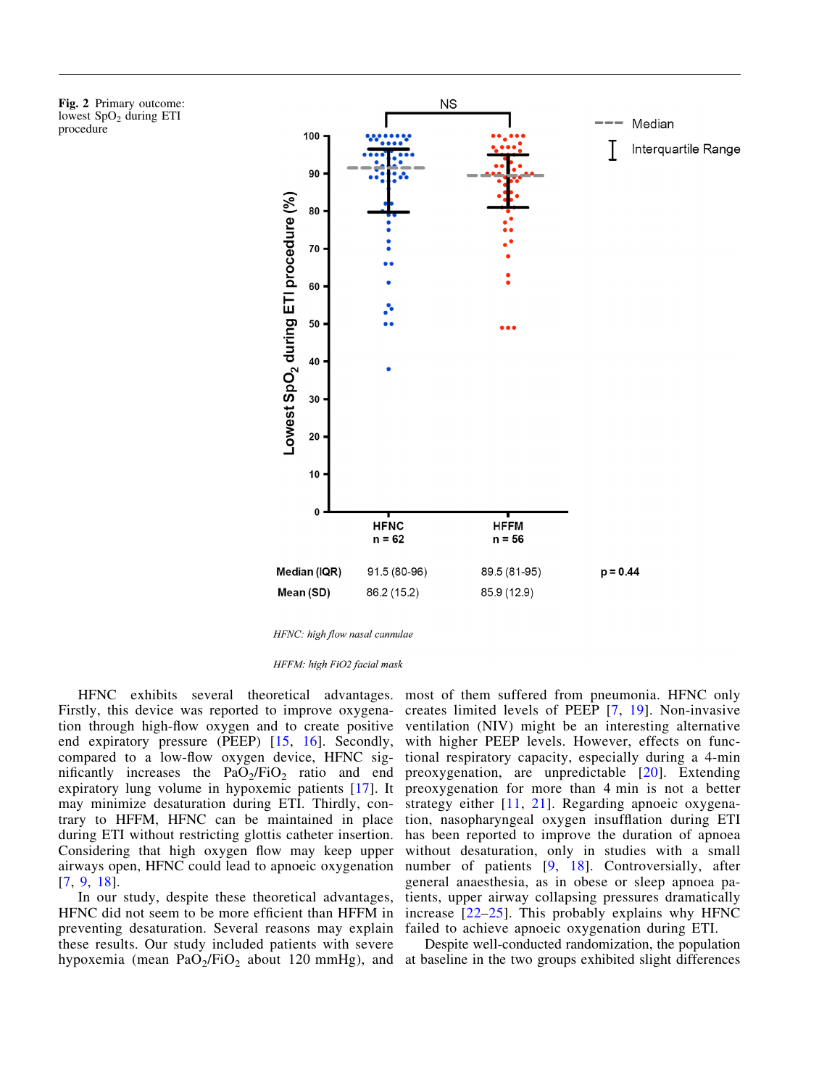<span id="page-7-0"></span>Fig. 2 Primary outcome: lowest  $SpO<sub>2</sub>$  during ETI procedure



HFNC: high flow nasal cannulae

HFFM: high FiO2 facial mask

HFNC exhibits several theoretical advantages. Firstly, this device was reported to improve oxygenation through high-flow oxygen and to create positive end expiratory pressure (PEEP) [\[15,](#page-9-0) [16\]](#page-9-0). Secondly, compared to a low-flow oxygen device, HFNC significantly increases the  $PaO<sub>2</sub>/FiO<sub>2</sub>$  ratio and end expiratory lung volume in hypoxemic patients [\[17\]](#page-9-0). It may minimize desaturation during ETI. Thirdly, contrary to HFFM, HFNC can be maintained in place during ETI without restricting glottis catheter insertion. Considering that high oxygen flow may keep upper airways open, HFNC could lead to apnoeic oxygenation [\[7](#page-9-0), [9,](#page-9-0) [18](#page-9-0)].

In our study, despite these theoretical advantages, HFNC did not seem to be more efficient than HFFM in preventing desaturation. Several reasons may explain these results. Our study included patients with severe

most of them suffered from pneumonia. HFNC only creates limited levels of PEEP [[7](#page-9-0), [19\]](#page-9-0). Non-invasive ventilation (NIV) might be an interesting alternative with higher PEEP levels. However, effects on functional respiratory capacity, especially during a 4-min preoxygenation, are unpredictable [[20\]](#page-9-0). Extending preoxygenation for more than 4 min is not a better strategy either [\[11,](#page-9-0) [21\]](#page-9-0). Regarding apnoeic oxygenation, nasopharyngeal oxygen insufflation during ETI has been reported to improve the duration of apnoea without desaturation, only in studies with a small number of patients [[9,](#page-9-0) [18](#page-9-0)]. Controversially, after general anaesthesia, as in obese or sleep apnoea patients, upper airway collapsing pressures dramatically increase [\[22](#page-10-0)–[25](#page-10-0)]. This probably explains why HFNC failed to achieve apnoeic oxygenation during ETI.

hypoxemia (mean  $PaO_2/FiO_2$  about 120 mmHg), and at baseline in the two groups exhibited slight differences Despite well-conducted randomization, the population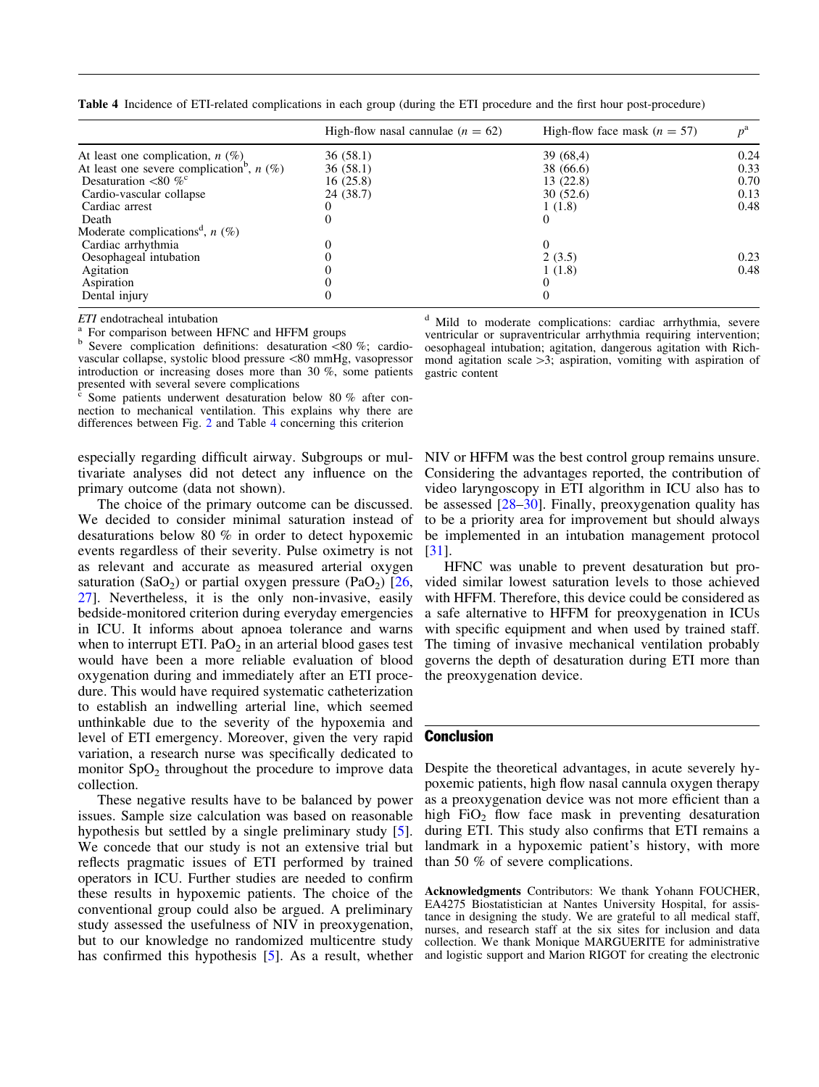<span id="page-8-0"></span>

| Table 4 Incidence of ETI-related complications in each group (during the ETI procedure and the first hour post-procedure) |  |
|---------------------------------------------------------------------------------------------------------------------------|--|
|---------------------------------------------------------------------------------------------------------------------------|--|

|                                                         | High-flow nasal cannulae $(n = 62)$ | High-flow face mask $(n = 57)$ |      |
|---------------------------------------------------------|-------------------------------------|--------------------------------|------|
| At least one complication, $n$ (%)                      | 36(58.1)                            | 39(68,4)                       | 0.24 |
| At least one severe complication <sup>b</sup> , $n$ (%) | 36(58.1)                            | 38 (66.6)                      | 0.33 |
| Desaturation $\langle 80 \, \% \rangle$                 | 16(25.8)                            | 13(22.8)                       | 0.70 |
| Cardio-vascular collapse                                | 24 (38.7)                           | 30(52.6)                       | 0.13 |
| Cardiac arrest                                          |                                     | 1(1.8)                         | 0.48 |
| Death                                                   |                                     | $\theta$                       |      |
| Moderate complications <sup>d</sup> , $n$ (%)           |                                     |                                |      |
| Cardiac arrhythmia                                      |                                     | 0                              |      |
| Oesophageal intubation                                  |                                     | 2(3.5)                         | 0.23 |
| Agitation                                               |                                     | 1(1.8)                         | 0.48 |
| Aspiration                                              |                                     | 0                              |      |
| Dental injury                                           |                                     | $\theta$                       |      |

ETI endotracheal intubation<br>
<sup>a</sup> For comparison between HFNC and HFFM groups<br>
<sup>b</sup> Severe complication definitions: desaturation <80 %; cardiovascular collapse, systolic blood pressure\80 mmHg, vasopressor introduction or increasing doses more than 30 %, some patients presented with several severe complications

Some patients underwent desaturation below 80  $\%$  after connection to mechanical ventilation. This explains why there are differences between Fig. [2](#page-5-0) and Table 4 concerning this criterion

especially regarding difficult airway. Subgroups or multivariate analyses did not detect any influence on the primary outcome (data not shown).

The choice of the primary outcome can be discussed. We decided to consider minimal saturation instead of desaturations below 80 % in order to detect hypoxemic events regardless of their severity. Pulse oximetry is not as relevant and accurate as measured arterial oxygen saturation (SaO<sub>2</sub>) or partial oxygen pressure (PaO<sub>2</sub>) [\[26,](#page-10-0) [27](#page-10-0)]. Nevertheless, it is the only non-invasive, easily bedside-monitored criterion during everyday emergencies in ICU. It informs about apnoea tolerance and warns when to interrupt ETI.  $PaO<sub>2</sub>$  in an arterial blood gases test would have been a more reliable evaluation of blood oxygenation during and immediately after an ETI procedure. This would have required systematic catheterization to establish an indwelling arterial line, which seemed unthinkable due to the severity of the hypoxemia and level of ETI emergency. Moreover, given the very rapid variation, a research nurse was specifically dedicated to monitor  $SpO<sub>2</sub>$  throughout the procedure to improve data collection.

These negative results have to be balanced by power issues. Sample size calculation was based on reasonable hypothesis but settled by a single preliminary study [\[5](#page-9-0)]. We concede that our study is not an extensive trial but reflects pragmatic issues of ETI performed by trained operators in ICU. Further studies are needed to confirm these results in hypoxemic patients. The choice of the conventional group could also be argued. A preliminary study assessed the usefulness of NIV in preoxygenation, but to our knowledge no randomized multicentre study has confirmed this hypothesis [[5](#page-9-0)]. As a result, whether <sup>d</sup> Mild to moderate complications: cardiac arrhythmia, severe ventricular or supraventricular arrhythmia requiring intervention; oesophageal intubation; agitation, dangerous agitation with Richmond agitation scale  $>3$ ; aspiration, vomiting with aspiration of gastric content

NIV or HFFM was the best control group remains unsure. Considering the advantages reported, the contribution of video laryngoscopy in ETI algorithm in ICU also has to be assessed [\[28–30](#page-10-0)]. Finally, preoxygenation quality has to be a priority area for improvement but should always be implemented in an intubation management protocol [\[31\]](#page-10-0).

HFNC was unable to prevent desaturation but provided similar lowest saturation levels to those achieved with HFFM. Therefore, this device could be considered as a safe alternative to HFFM for preoxygenation in ICUs with specific equipment and when used by trained staff. The timing of invasive mechanical ventilation probably governs the depth of desaturation during ETI more than the preoxygenation device.

## **Conclusion**

Despite the theoretical advantages, in acute severely hypoxemic patients, high flow nasal cannula oxygen therapy as a preoxygenation device was not more efficient than a high  $FiO<sub>2</sub>$  flow face mask in preventing desaturation during ETI. This study also confirms that ETI remains a landmark in a hypoxemic patient's history, with more than 50 % of severe complications.

Acknowledgments Contributors: We thank Yohann FOUCHER, EA4275 Biostatistician at Nantes University Hospital, for assistance in designing the study. We are grateful to all medical staff, nurses, and research staff at the six sites for inclusion and data collection. We thank Monique MARGUERITE for administrative and logistic support and Marion RIGOT for creating the electronic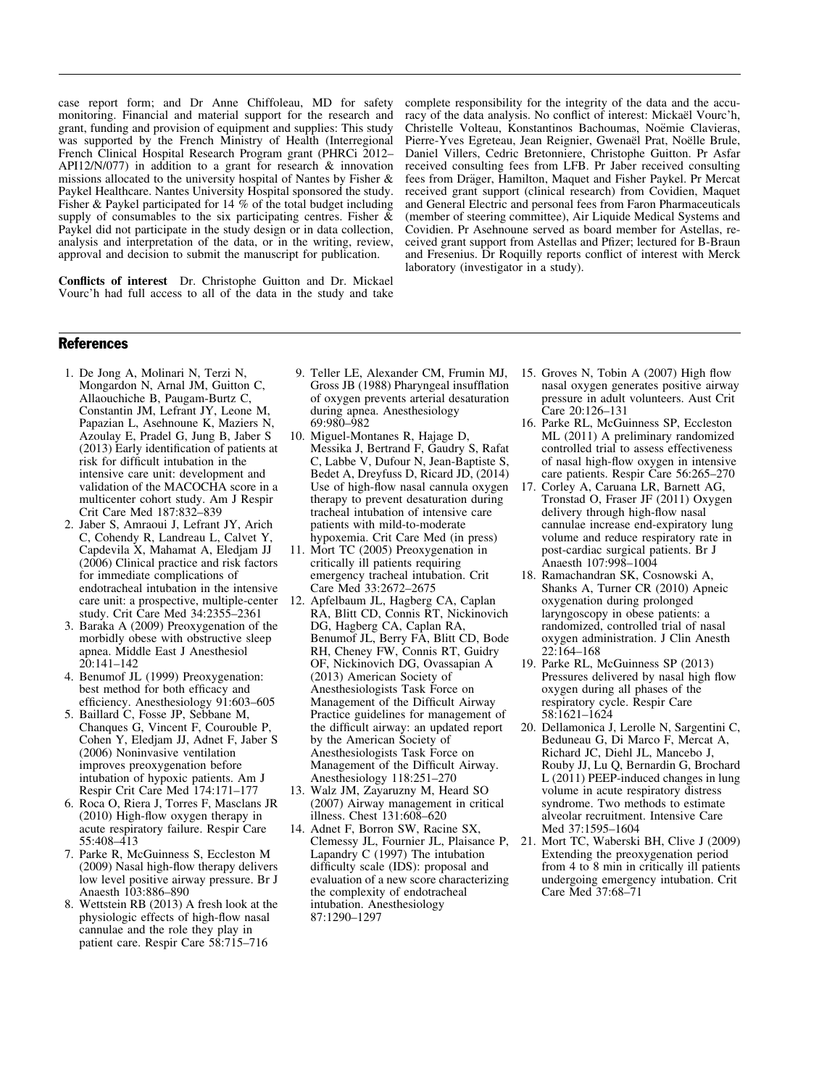<span id="page-9-0"></span>case report form; and Dr Anne Chiffoleau, MD for safety monitoring. Financial and material support for the research and grant, funding and provision of equipment and supplies: This study was supported by the French Ministry of Health (Interregional French Clinical Hospital Research Program grant (PHRCi 2012– API12/N/077) in addition to a grant for research & innovation missions allocated to the university hospital of Nantes by Fisher & Paykel Healthcare. Nantes University Hospital sponsored the study. Fisher & Paykel participated for 14 % of the total budget including supply of consumables to the six participating centres. Fisher  $\&$ Paykel did not participate in the study design or in data collection, analysis and interpretation of the data, or in the writing, review, approval and decision to submit the manuscript for publication.

Conflicts of interest Dr. Christophe Guitton and Dr. Mickael Vourc'h had full access to all of the data in the study and take complete responsibility for the integrity of the data and the accuracy of the data analysis. No conflict of interest: Mickaël Vourc'h, Christelle Volteau, Konstantinos Bachoumas, Noëmie Clavieras, Pierre-Yves Egreteau, Jean Reignier, Gwenaël Prat, Noëlle Brule, Daniel Villers, Cedric Bretonniere, Christophe Guitton. Pr Asfar received consulting fees from LFB. Pr Jaber received consulting fees from Dräger, Hamilton, Maquet and Fisher Paykel. Pr Mercat received grant support (clinical research) from Covidien, Maquet and General Electric and personal fees from Faron Pharmaceuticals (member of steering committee), Air Liquide Medical Systems and Covidien. Pr Asehnoune served as board member for Astellas, received grant support from Astellas and Pfizer; lectured for B-Braun and Fresenius. Dr Roquilly reports conflict of interest with Merck laboratory (investigator in a study).

#### References

- 1. De Jong A, Molinari N, Terzi N, Mongardon N, Arnal JM, Guitton C, Allaouchiche B, Paugam-Burtz C, Constantin JM, Lefrant JY, Leone M, Papazian L, Asehnoune K, Maziers N, Azoulay E, Pradel G, Jung B, Jaber S (2013) Early identification of patients at risk for difficult intubation in the intensive care unit: development and validation of the MACOCHA score in a multicenter cohort study. Am J Respir Crit Care Med 187:832–839
- 2. Jaber S, Amraoui J, Lefrant JY, Arich C, Cohendy R, Landreau L, Calvet Y, Capdevila X, Mahamat A, Eledjam JJ (2006) Clinical practice and risk factors for immediate complications of endotracheal intubation in the intensive care unit: a prospective, multiple-center study. Crit Care Med 34:2355–2361
- 3. Baraka A (2009) Preoxygenation of the morbidly obese with obstructive sleep apnea. Middle East J Anesthesiol  $20:141-142$
- 4. Benumof JL (1999) Preoxygenation: best method for both efficacy and efficiency. Anesthesiology 91:603–605
- 5. Baillard C, Fosse JP, Sebbane M, Chanques G, Vincent F, Courouble P, Cohen Y, Eledjam JJ, Adnet F, Jaber S (2006) Noninvasive ventilation improves preoxygenation before intubation of hypoxic patients. Am J Respir Crit Care Med 174:171–177
- 6. Roca O, Riera J, Torres F, Masclans JR (2010) High-flow oxygen therapy in acute respiratory failure. Respir Care 55:408–413
- 7. Parke R, McGuinness S, Eccleston M (2009) Nasal high-flow therapy delivers low level positive airway pressure. Br J Anaesth 103:886–890
- 8. Wettstein RB (2013) A fresh look at the physiologic effects of high-flow nasal cannulae and the role they play in patient care. Respir Care 58:715–716
- 9. Teller LE, Alexander CM, Frumin MJ, Gross JB (1988) Pharyngeal insufflation of oxygen prevents arterial desaturation during apnea. Anesthesiology 69:980–982
- 10. Miguel-Montanes R, Hajage D, Messika J, Bertrand F, Gaudry S, Rafat C, Labbe V, Dufour N, Jean-Baptiste S, Bedet A, Dreyfuss D, Ricard JD, (2014) Use of high-flow nasal cannula oxygen therapy to prevent desaturation during tracheal intubation of intensive care patients with mild-to-moderate hypoxemia. Crit Care Med (in press)
- 11. Mort TC (2005) Preoxygenation in critically ill patients requiring emergency tracheal intubation. Crit Care Med 33:2672–2675
- 12. Apfelbaum JL, Hagberg CA, Caplan RA, Blitt CD, Connis RT, Nickinovich DG, Hagberg CA, Caplan RA, Benumof JL, Berry FA, Blitt CD, Bode RH, Cheney FW, Connis RT, Guidry OF, Nickinovich DG, Ovassapian A (2013) American Society of Anesthesiologists Task Force on Management of the Difficult Airway Practice guidelines for management of the difficult airway: an updated report by the American Society of Anesthesiologists Task Force on Management of the Difficult Airway. Anesthesiology 118:251–270
- 13. Walz JM, Zayaruzny M, Heard SO (2007) Airway management in critical illness. Chest 131:608–620
- 14. Adnet F, Borron SW, Racine SX, Clemessy JL, Fournier JL, Plaisance P, Lapandry C (1997) The intubation difficulty scale (IDS): proposal and evaluation of a new score characterizing the complexity of endotracheal intubation. Anesthesiology 87:1290–1297
- 15. Groves N, Tobin A (2007) High flow nasal oxygen generates positive airway pressure in adult volunteers. Aust Crit Care 20:126–131
- 16. Parke RL, McGuinness SP, Eccleston ML (2011) A preliminary randomized controlled trial to assess effectiveness of nasal high-flow oxygen in intensive care patients. Respir Care 56:265–270
- 17. Corley A, Caruana LR, Barnett AG, Tronstad O, Fraser JF (2011) Oxygen delivery through high-flow nasal cannulae increase end-expiratory lung volume and reduce respiratory rate in post-cardiac surgical patients. Br J Anaesth 107:998–1004
- 18. Ramachandran SK, Cosnowski A, Shanks A, Turner CR (2010) Apneic oxygenation during prolonged laryngoscopy in obese patients: a randomized, controlled trial of nasal oxygen administration. J Clin Anesth 22:164–168
- 19. Parke RL, McGuinness SP (2013) Pressures delivered by nasal high flow oxygen during all phases of the respiratory cycle. Respir Care 58:1621–1624
- 20. Dellamonica J, Lerolle N, Sargentini C, Beduneau G, Di Marco F, Mercat A, Richard JC, Diehl JL, Mancebo J, Rouby JJ, Lu Q, Bernardin G, Brochard L (2011) PEEP-induced changes in lung volume in acute respiratory distress syndrome. Two methods to estimate alveolar recruitment. Intensive Care Med 37:1595–1604
- 21. Mort TC, Waberski BH, Clive J (2009) Extending the preoxygenation period from 4 to 8 min in critically ill patients undergoing emergency intubation. Crit Care Med 37:68–71